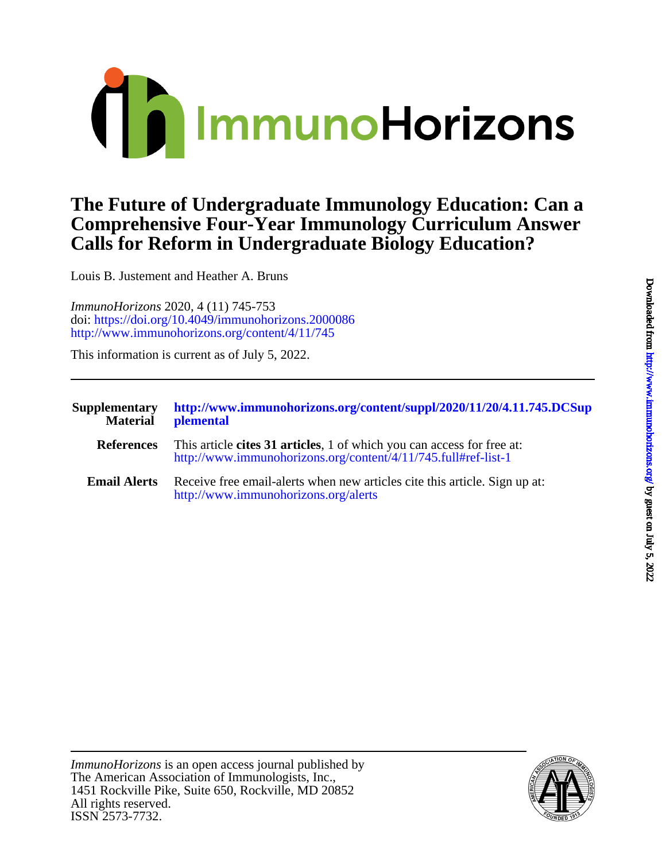

## **Calls for Reform in Undergraduate Biology Education? Comprehensive Four-Year Immunology Curriculum Answer The Future of Undergraduate Immunology Education: Can a**

Louis B. Justement and Heather A. Bruns

<http://www.immunohorizons.org/content/4/11/745> doi:<https://doi.org/10.4049/immunohorizons.2000086> *ImmunoHorizons* 2020, 4 (11) 745-753

This information is current as of July 5, 2022.

| <b>Supplementary</b><br><b>Material</b> | http://www.immunohorizons.org/content/suppl/2020/11/20/4.11.745.DCSup<br>plemental                                                       |
|-----------------------------------------|------------------------------------------------------------------------------------------------------------------------------------------|
| <b>References</b>                       | This article cites 31 articles, 1 of which you can access for free at:<br>http://www.immunohorizons.org/content/4/11/745.full#ref-list-1 |
| <b>Email Alerts</b>                     | Receive free email-alerts when new articles cite this article. Sign up at:<br>http://www.immunohorizons.org/alerts                       |

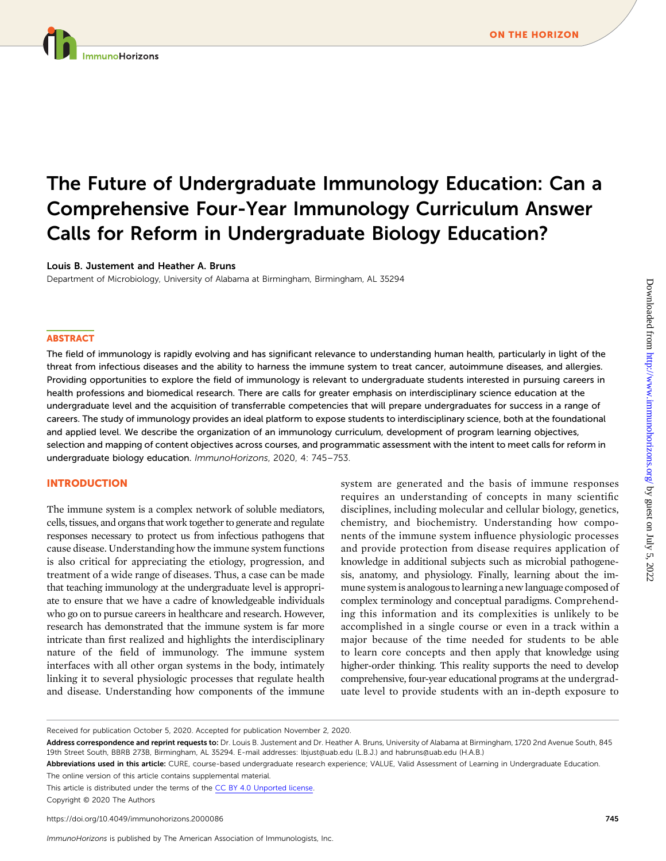# The Future of Undergraduate Immunology Education: Can a Comprehensive Four-Year Immunology Curriculum Answer Calls for Reform in Undergraduate Biology Education?

#### Louis B. Justement and Heather A. Bruns

Department of Microbiology, University of Alabama at Birmingham, Birmingham, AL 35294

#### **ABSTRACT**

The field of immunology is rapidly evolving and has significant relevance to understanding human health, particularly in light of the threat from infectious diseases and the ability to harness the immune system to treat cancer, autoimmune diseases, and allergies. Providing opportunities to explore the field of immunology is relevant to undergraduate students interested in pursuing careers in health professions and biomedical research. There are calls for greater emphasis on interdisciplinary science education at the undergraduate level and the acquisition of transferrable competencies that will prepare undergraduates for success in a range of careers. The study of immunology provides an ideal platform to expose students to interdisciplinary science, both at the foundational and applied level. We describe the organization of an immunology curriculum, development of program learning objectives, selection and mapping of content objectives across courses, and programmatic assessment with the intent to meet calls for reform in undergraduate biology education. ImmunoHorizons, 2020, 4: 745–753.

#### INTRODUCTION

The immune system is a complex network of soluble mediators, cells, tissues, and organs that work together to generate and regulate responses necessary to protect us from infectious pathogens that cause disease. Understanding how the immune system functions is also critical for appreciating the etiology, progression, and treatment of a wide range of diseases. Thus, a case can be made that teaching immunology at the undergraduate level is appropriate to ensure that we have a cadre of knowledgeable individuals who go on to pursue careers in healthcare and research. However, research has demonstrated that the immune system is far more intricate than first realized and highlights the interdisciplinary nature of the field of immunology. The immune system interfaces with all other organ systems in the body, intimately linking it to several physiologic processes that regulate health and disease. Understanding how components of the immune

system are generated and the basis of immune responses requires an understanding of concepts in many scientific disciplines, including molecular and cellular biology, genetics, chemistry, and biochemistry. Understanding how components of the immune system influence physiologic processes and provide protection from disease requires application of knowledge in additional subjects such as microbial pathogenesis, anatomy, and physiology. Finally, learning about the immune systemis analogous to learning a new language composed of complex terminology and conceptual paradigms. Comprehending this information and its complexities is unlikely to be accomplished in a single course or even in a track within a major because of the time needed for students to be able to learn core concepts and then apply that knowledge using higher-order thinking. This reality supports the need to develop comprehensive, four-year educational programs at the undergraduate level to provide students with an in-depth exposure to

The online version of this article contains [supplemental material](http://www.immunohorizons.org/lookup/suppl/doi:10.4049/immunohorizons.2000086/-/DCSupplemental). This article is distributed under the terms of the [CC BY 4.0 Unported license.](https://creativecommons.org/licenses/by/4.0/)

Copyright © 2020 The Authors

Received for publication October 5, 2020. Accepted for publication November 2, 2020.

Address correspondence and reprint requests to: Dr. Louis B. Justement and Dr. Heather A. Bruns, University of Alabama at Birmingham, 1720 2nd Avenue South, 845 19th Street South, BBRB 273B, Birmingham, AL 35294. E-mail addresses: [lbjust@uab.edu](mailto:lbjust@uab.edu) (L.B.J.) and [habruns@uab.edu](mailto:habruns@uab.edu) (H.A.B.)

Abbreviations used in this article: CURE, course-based undergraduate research experience; VALUE, Valid Assessment of Learning in Undergraduate Education.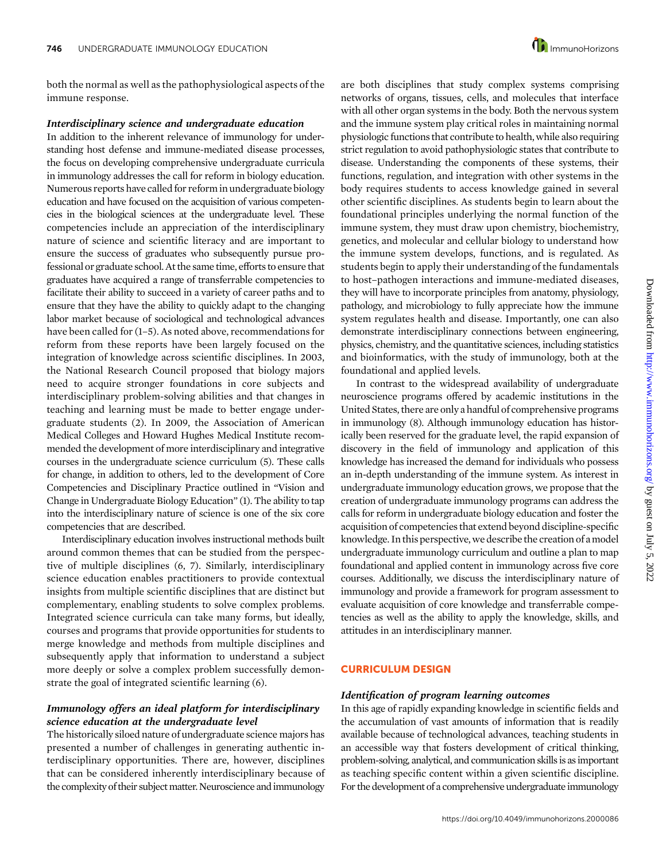both the normal as well as the pathophysiological aspects of the immune response.

#### Interdisciplinary science and undergraduate education

In addition to the inherent relevance of immunology for understanding host defense and immune-mediated disease processes, the focus on developing comprehensive undergraduate curricula in immunology addresses the call for reform in biology education. Numerous reports have called for reform in undergraduate biology education and have focused on the acquisition of various competencies in the biological sciences at the undergraduate level. These competencies include an appreciation of the interdisciplinary nature of science and scientific literacy and are important to ensure the success of graduates who subsequently pursue professional or graduate school. At the same time, efforts to ensure that graduates have acquired a range of transferrable competencies to facilitate their ability to succeed in a variety of career paths and to ensure that they have the ability to quickly adapt to the changing labor market because of sociological and technological advances have been called for  $(1-5)$ . As noted above, recommendations for reform from these reports have been largely focused on the integration of knowledge across scientific disciplines. In 2003, the National Research Council proposed that biology majors need to acquire stronger foundations in core subjects and interdisciplinary problem-solving abilities and that changes in teaching and learning must be made to better engage undergraduate students (2). In 2009, the Association of American Medical Colleges and Howard Hughes Medical Institute recommended the development of more interdisciplinary and integrative courses in the undergraduate science curriculum (5). These calls for change, in addition to others, led to the development of Core Competencies and Disciplinary Practice outlined in "Vision and Change in Undergraduate Biology Education" (1). The ability to tap into the interdisciplinary nature of science is one of the six core competencies that are described.

Interdisciplinary education involves instructional methods built around common themes that can be studied from the perspective of multiple disciplines (6, 7). Similarly, interdisciplinary science education enables practitioners to provide contextual insights from multiple scientific disciplines that are distinct but complementary, enabling students to solve complex problems. Integrated science curricula can take many forms, but ideally, courses and programs that provide opportunities for students to merge knowledge and methods from multiple disciplines and subsequently apply that information to understand a subject more deeply or solve a complex problem successfully demonstrate the goal of integrated scientific learning (6).

#### Immunology offers an ideal platform for interdisciplinary science education at the undergraduate level

The historically siloed nature of undergraduate science majors has presented a number of challenges in generating authentic interdisciplinary opportunities. There are, however, disciplines that can be considered inherently interdisciplinary because of the complexity of their subject matter. Neuroscience and immunology

are both disciplines that study complex systems comprising networks of organs, tissues, cells, and molecules that interface with all other organ systems in the body. Both the nervous system and the immune system play critical roles in maintaining normal physiologic functions that contribute to health, while also requiring strict regulation to avoid pathophysiologic states that contribute to disease. Understanding the components of these systems, their functions, regulation, and integration with other systems in the body requires students to access knowledge gained in several other scientific disciplines. As students begin to learn about the foundational principles underlying the normal function of the immune system, they must draw upon chemistry, biochemistry, genetics, and molecular and cellular biology to understand how the immune system develops, functions, and is regulated. As students begin to apply their understanding of the fundamentals to host–pathogen interactions and immune-mediated diseases, they will have to incorporate principles from anatomy, physiology, pathology, and microbiology to fully appreciate how the immune system regulates health and disease. Importantly, one can also demonstrate interdisciplinary connections between engineering, physics, chemistry, and the quantitative sciences, including statistics and bioinformatics, with the study of immunology, both at the foundational and applied levels.

In contrast to the widespread availability of undergraduate neuroscience programs offered by academic institutions in the United States, there are only a handful of comprehensive programs in immunology (8). Although immunology education has historically been reserved for the graduate level, the rapid expansion of discovery in the field of immunology and application of this knowledge has increased the demand for individuals who possess an in-depth understanding of the immune system. As interest in undergraduate immunology education grows, we propose that the creation of undergraduate immunology programs can address the calls for reform in undergraduate biology education and foster the acquisition of competencies that extend beyond discipline-specific knowledge. In this perspective, we describe the creation of a model undergraduate immunology curriculum and outline a plan to map foundational and applied content in immunology across five core courses. Additionally, we discuss the interdisciplinary nature of immunology and provide a framework for program assessment to evaluate acquisition of core knowledge and transferrable competencies as well as the ability to apply the knowledge, skills, and attitudes in an interdisciplinary manner.

#### CURRICULUM DESIGN

#### Identification of program learning outcomes

In this age of rapidly expanding knowledge in scientific fields and the accumulation of vast amounts of information that is readily available because of technological advances, teaching students in an accessible way that fosters development of critical thinking, problem-solving, analytical, and communication skills is as important as teaching specific content within a given scientific discipline. For the development of a comprehensive undergraduate immunology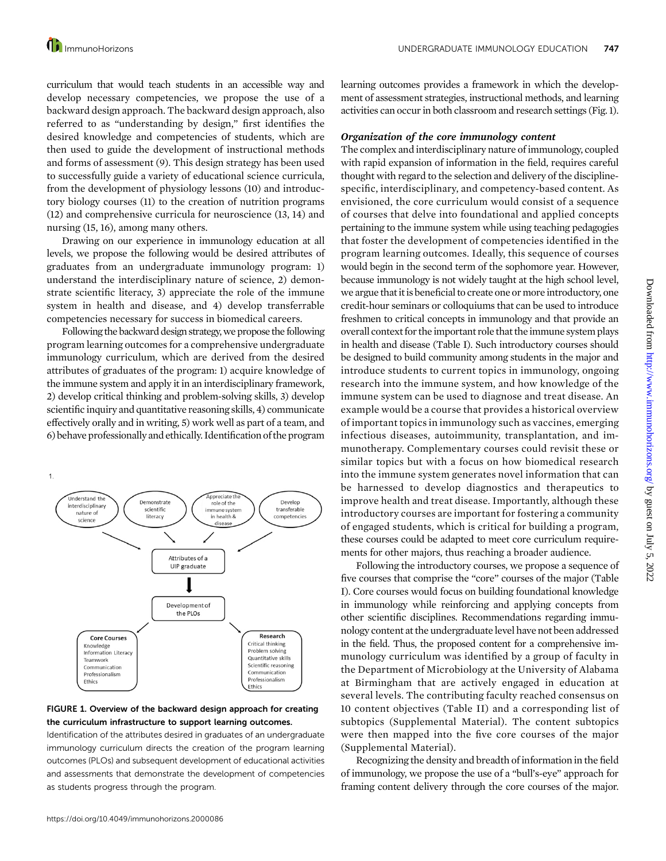curriculum that would teach students in an accessible way and develop necessary competencies, we propose the use of a backward design approach. The backward design approach, also referred to as "understanding by design," first identifies the desired knowledge and competencies of students, which are then used to guide the development of instructional methods and forms of assessment (9). This design strategy has been used to successfully guide a variety of educational science curricula, from the development of physiology lessons (10) and introductory biology courses (11) to the creation of nutrition programs (12) and comprehensive curricula for neuroscience (13, 14) and nursing (15, 16), among many others.

Drawing on our experience in immunology education at all levels, we propose the following would be desired attributes of graduates from an undergraduate immunology program: 1) understand the interdisciplinary nature of science, 2) demonstrate scientific literacy, 3) appreciate the role of the immune system in health and disease, and 4) develop transferrable competencies necessary for success in biomedical careers.

Following the backward design strategy, we propose the following program learning outcomes for a comprehensive undergraduate immunology curriculum, which are derived from the desired attributes of graduates of the program: 1) acquire knowledge of the immune system and apply it in an interdisciplinary framework, 2) develop critical thinking and problem-solving skills, 3) develop scientific inquiry and quantitative reasoning skills, 4) communicate effectively orally and in writing, 5) work well as part of a team, and 6) behave professionally and ethically. Identification of the program



#### FIGURE 1. Overview of the backward design approach for creating the curriculum infrastructure to support learning outcomes.

Identification of the attributes desired in graduates of an undergraduate immunology curriculum directs the creation of the program learning outcomes (PLOs) and subsequent development of educational activities and assessments that demonstrate the development of competencies as students progress through the program.

learning outcomes provides a framework in which the development of assessment strategies, instructional methods, and learning activities can occur in both classroom and research settings (Fig. 1).

#### Organization of the core immunology content

The complex and interdisciplinary nature of immunology, coupled with rapid expansion of information in the field, requires careful thought with regard to the selection and delivery of the disciplinespecific, interdisciplinary, and competency-based content. As envisioned, the core curriculum would consist of a sequence of courses that delve into foundational and applied concepts pertaining to the immune system while using teaching pedagogies that foster the development of competencies identified in the program learning outcomes. Ideally, this sequence of courses would begin in the second term of the sophomore year. However, because immunology is not widely taught at the high school level, we argue that it is beneficial to create one or more introductory, one credit-hour seminars or colloquiums that can be used to introduce freshmen to critical concepts in immunology and that provide an overall context for the important role that the immune system plays in health and disease (Table I). Such introductory courses should be designed to build community among students in the major and introduce students to current topics in immunology, ongoing research into the immune system, and how knowledge of the immune system can be used to diagnose and treat disease. An example would be a course that provides a historical overview of important topics in immunology such as vaccines, emerging infectious diseases, autoimmunity, transplantation, and immunotherapy. Complementary courses could revisit these or similar topics but with a focus on how biomedical research into the immune system generates novel information that can be harnessed to develop diagnostics and therapeutics to improve health and treat disease. Importantly, although these introductory courses are important for fostering a community of engaged students, which is critical for building a program, these courses could be adapted to meet core curriculum requirements for other majors, thus reaching a broader audience.

Following the introductory courses, we propose a sequence of five courses that comprise the "core" courses of the major (Table I). Core courses would focus on building foundational knowledge in immunology while reinforcing and applying concepts from other scientific disciplines. Recommendations regarding immunology content at the undergraduate level have not been addressed in the field. Thus, the proposed content for a comprehensive immunology curriculum was identified by a group of faculty in the Department of Microbiology at the University of Alabama at Birmingham that are actively engaged in education at several levels. The contributing faculty reached consensus on 10 content objectives (Table II) and a corresponding list of subtopics ([Supplemental Material\)](http://www.immunohorizons.org/lookup/suppl/doi:10.4049/immunohorizons.2000086/-/DCSupplemental). The content subtopics were then mapped into the five core courses of the major ([Supplemental Material\)](http://www.immunohorizons.org/lookup/suppl/doi:10.4049/immunohorizons.2000086/-/DCSupplemental).

Recognizing the density and breadth of information in the field of immunology, we propose the use of a "bull's-eye" approach for framing content delivery through the core courses of the major.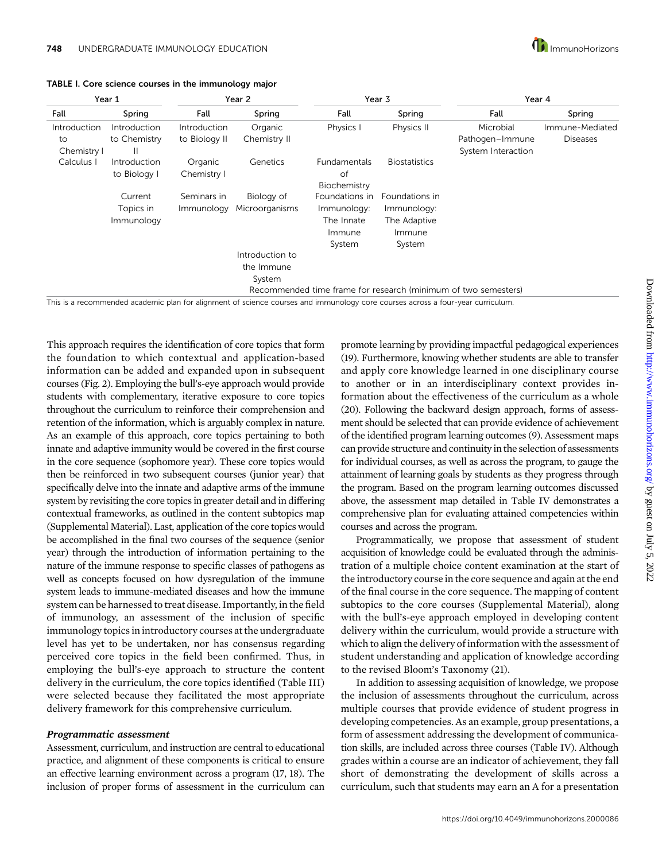

| Year 1       |              | Year 2        |                 |                     | Year 3               | Year 4                                                         |                 |  |
|--------------|--------------|---------------|-----------------|---------------------|----------------------|----------------------------------------------------------------|-----------------|--|
| Fall         | Spring       | Fall          | Spring          | Fall                | Spring               | Fall                                                           | Spring          |  |
| Introduction | Introduction | Introduction  | Organic         | Physics I           | Physics II           | Microbial                                                      | Immune-Mediated |  |
| to           | to Chemistry | to Biology II | Chemistry II    |                     |                      | Pathogen-Immune                                                | <b>Diseases</b> |  |
| Chemistry I  | H            |               |                 |                     |                      | System Interaction                                             |                 |  |
| Calculus     | Introduction | Organic       | Genetics        | <b>Fundamentals</b> | <b>Biostatistics</b> |                                                                |                 |  |
|              | to Biology I | Chemistry I   |                 | of                  |                      |                                                                |                 |  |
|              |              |               |                 | Biochemistry        |                      |                                                                |                 |  |
|              | Current      | Seminars in   | Biology of      | Foundations in      | Foundations in       |                                                                |                 |  |
|              | Topics in    | Immunology    | Microorganisms  | Immunology:         | Immunology:          |                                                                |                 |  |
|              | Immunology   |               |                 | The Innate          | The Adaptive         |                                                                |                 |  |
|              |              |               |                 | Immune              | Immune               |                                                                |                 |  |
|              |              |               |                 | System              | System               |                                                                |                 |  |
|              |              |               | Introduction to |                     |                      |                                                                |                 |  |
|              |              |               | the Immune      |                     |                      |                                                                |                 |  |
|              |              |               | System          |                     |                      |                                                                |                 |  |
|              |              |               |                 |                     |                      | Recommended time frame for research (minimum of two semesters) |                 |  |

TABLE I. Core science courses in the immunology major

This is a recommended academic plan for alignment of science courses and immunology core courses across a four-year curriculum.

This approach requires the identification of core topics that form the foundation to which contextual and application-based information can be added and expanded upon in subsequent courses (Fig. 2). Employing the bull's-eye approach would provide students with complementary, iterative exposure to core topics throughout the curriculum to reinforce their comprehension and retention of the information, which is arguably complex in nature. As an example of this approach, core topics pertaining to both innate and adaptive immunity would be covered in the first course in the core sequence (sophomore year). These core topics would then be reinforced in two subsequent courses (junior year) that specifically delve into the innate and adaptive arms of the immune system by revisiting the core topics in greater detail and in differing contextual frameworks, as outlined in the content subtopics map [\(Supplemental Material\)](http://www.immunohorizons.org/lookup/suppl/doi:10.4049/immunohorizons.2000086/-/DCSupplemental). Last, application of the core topics would be accomplished in the final two courses of the sequence (senior year) through the introduction of information pertaining to the nature of the immune response to specific classes of pathogens as well as concepts focused on how dysregulation of the immune system leads to immune-mediated diseases and how the immune system can be harnessed to treat disease. Importantly, in the field of immunology, an assessment of the inclusion of specific immunology topics in introductory courses at the undergraduate level has yet to be undertaken, nor has consensus regarding perceived core topics in the field been confirmed. Thus, in employing the bull's-eye approach to structure the content delivery in the curriculum, the core topics identified (Table III) were selected because they facilitated the most appropriate delivery framework for this comprehensive curriculum.

#### Programmatic assessment

Assessment, curriculum, and instruction are central to educational practice, and alignment of these components is critical to ensure an effective learning environment across a program (17, 18). The inclusion of proper forms of assessment in the curriculum can promote learning by providing impactful pedagogical experiences (19). Furthermore, knowing whether students are able to transfer and apply core knowledge learned in one disciplinary course to another or in an interdisciplinary context provides information about the effectiveness of the curriculum as a whole (20). Following the backward design approach, forms of assessment should be selected that can provide evidence of achievement of the identified program learning outcomes (9). Assessment maps can provide structure and continuity in the selection of assessments for individual courses, as well as across the program, to gauge the attainment of learning goals by students as they progress through the program. Based on the program learning outcomes discussed above, the assessment map detailed in Table IV demonstrates a comprehensive plan for evaluating attained competencies within courses and across the program.

Programmatically, we propose that assessment of student acquisition of knowledge could be evaluated through the administration of a multiple choice content examination at the start of the introductory course in the core sequence and again at the end of the final course in the core sequence. The mapping of content subtopics to the core courses [\(Supplemental Material\)](http://www.immunohorizons.org/lookup/suppl/doi:10.4049/immunohorizons.2000086/-/DCSupplemental), along with the bull's-eye approach employed in developing content delivery within the curriculum, would provide a structure with which to align the delivery of information with the assessment of student understanding and application of knowledge according to the revised Bloom's Taxonomy (21).

In addition to assessing acquisition of knowledge, we propose the inclusion of assessments throughout the curriculum, across multiple courses that provide evidence of student progress in developing competencies. As an example, group presentations, a form of assessment addressing the development of communication skills, are included across three courses (Table IV). Although grades within a course are an indicator of achievement, they fall short of demonstrating the development of skills across a curriculum, such that students may earn an A for a presentation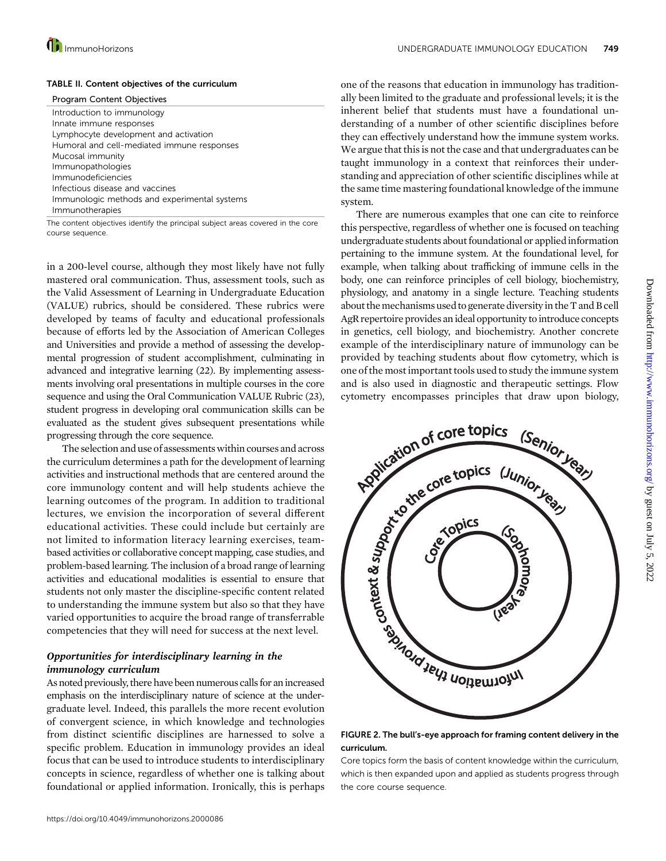

#### **ID** ImmunoHorizons **TABLE 1000 CONTROLS TO A SET A SET A SET A SET A UNDERGRADUATE IMMUNOLOGY EDUCATION 749**

#### TABLE II. Content objectives of the curriculum

| <b>Program Content Objectives</b>            |
|----------------------------------------------|
| Introduction to immunology                   |
| Innate immune responses                      |
| Lymphocyte development and activation        |
| Humoral and cell-mediated immune responses   |
| Mucosal immunity                             |
| Immunopathologies                            |
| Immunodeficiencies                           |
| Infectious disease and vaccines              |
| Immunologic methods and experimental systems |
| Immunotherapies                              |
|                                              |

The content objectives identify the principal subject areas covered in the core course sequence.

in a 200-level course, although they most likely have not fully mastered oral communication. Thus, assessment tools, such as the Valid Assessment of Learning in Undergraduate Education (VALUE) rubrics, should be considered. These rubrics were developed by teams of faculty and educational professionals because of efforts led by the Association of American Colleges and Universities and provide a method of assessing the developmental progression of student accomplishment, culminating in advanced and integrative learning (22). By implementing assessments involving oral presentations in multiple courses in the core sequence and using the Oral Communication VALUE Rubric (23), student progress in developing oral communication skills can be evaluated as the student gives subsequent presentations while progressing through the core sequence.

The selection and use of assessments within courses and across the curriculum determines a path for the development of learning activities and instructional methods that are centered around the core immunology content and will help students achieve the learning outcomes of the program. In addition to traditional lectures, we envision the incorporation of several different educational activities. These could include but certainly are not limited to information literacy learning exercises, teambased activities or collaborative concept mapping, case studies, and problem-based learning. The inclusion of a broad range of learning activities and educational modalities is essential to ensure that students not only master the discipline-specific content related to understanding the immune system but also so that they have varied opportunities to acquire the broad range of transferrable competencies that they will need for success at the next level.

#### Opportunities for interdisciplinary learning in the immunology curriculum

As noted previously, there have been numerous calls for an increased emphasis on the interdisciplinary nature of science at the undergraduate level. Indeed, this parallels the more recent evolution of convergent science, in which knowledge and technologies from distinct scientific disciplines are harnessed to solve a specific problem. Education in immunology provides an ideal focus that can be used to introduce students to interdisciplinary concepts in science, regardless of whether one is talking about foundational or applied information. Ironically, this is perhaps

one of the reasons that education in immunology has traditionally been limited to the graduate and professional levels; it is the inherent belief that students must have a foundational understanding of a number of other scientific disciplines before they can effectively understand how the immune system works. We argue that this is not the case and that undergraduates can be taught immunology in a context that reinforces their understanding and appreciation of other scientific disciplines while at the same time mastering foundational knowledge of the immune system.

There are numerous examples that one can cite to reinforce this perspective, regardless of whether one is focused on teaching undergraduate students about foundational or appliedinformation pertaining to the immune system. At the foundational level, for example, when talking about trafficking of immune cells in the body, one can reinforce principles of cell biology, biochemistry, physiology, and anatomy in a single lecture. Teaching students about the mechanisms used to generate diversity in the T and B cell AgR repertoire provides anideal opportunity to introduce concepts in genetics, cell biology, and biochemistry. Another concrete example of the interdisciplinary nature of immunology can be provided by teaching students about flow cytometry, which is one of the most important tools used to study the immune system and is also used in diagnostic and therapeutic settings. Flow



curriculum.

Core topics form the basis of content knowledge within the curriculum, which is then expanded upon and applied as students progress through the core course sequence.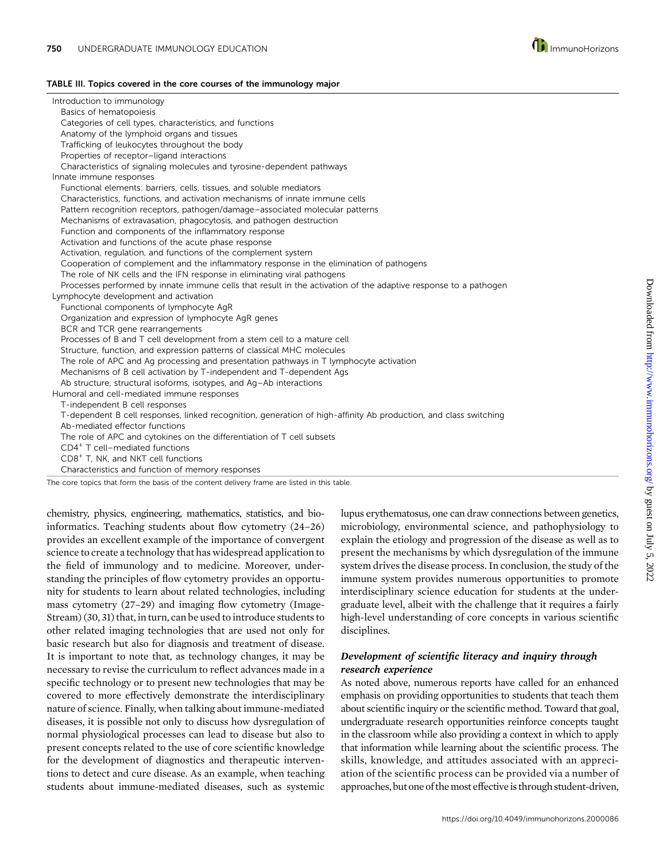

#### TABLE III. Topics covered in the core courses of the immunology major

| Introduction to immunology                                                                                       |
|------------------------------------------------------------------------------------------------------------------|
| Basics of hematopoiesis                                                                                          |
| Categories of cell types, characteristics, and functions                                                         |
| Anatomy of the lymphoid organs and tissues                                                                       |
| Trafficking of leukocytes throughout the body                                                                    |
| Properties of receptor-ligand interactions                                                                       |
| Characteristics of signaling molecules and tyrosine-dependent pathways                                           |
| Innate immune responses                                                                                          |
| Functional elements: barriers, cells, tissues, and soluble mediators                                             |
| Characteristics, functions, and activation mechanisms of innate immune cells                                     |
| Pattern recognition receptors, pathogen/damage-associated molecular patterns                                     |
| Mechanisms of extravasation, phagocytosis, and pathogen destruction                                              |
| Function and components of the inflammatory response                                                             |
| Activation and functions of the acute phase response                                                             |
| Activation, regulation, and functions of the complement system                                                   |
| Cooperation of complement and the inflammatory response in the elimination of pathogens                          |
| The role of NK cells and the IFN response in eliminating viral pathogens                                         |
| Processes performed by innate immune cells that result in the activation of the adaptive response to a pathogen  |
| Lymphocyte development and activation                                                                            |
| Functional components of lymphocyte AgR                                                                          |
| Organization and expression of lymphocyte AgR genes                                                              |
| BCR and TCR gene rearrangements                                                                                  |
| Processes of B and T cell development from a stem cell to a mature cell                                          |
| Structure, function, and expression patterns of classical MHC molecules                                          |
| The role of APC and Ag processing and presentation pathways in T lymphocyte activation                           |
| Mechanisms of B cell activation by T-independent and T-dependent Ags                                             |
| Ab structure, structural isoforms, isotypes, and Aq-Ab interactions                                              |
| Humoral and cell-mediated immune responses                                                                       |
| T-independent B cell responses                                                                                   |
| T-dependent B cell responses, linked recognition, generation of high-affinity Ab production, and class switching |
| Ab-mediated effector functions                                                                                   |
| The role of APC and cytokines on the differentiation of T cell subsets                                           |
| CD4 <sup>+</sup> T cell-mediated functions                                                                       |
| CD8 <sup>+</sup> T, NK, and NKT cell functions                                                                   |
| Characteristics and function of memory responses                                                                 |
| The core topics that form the basis of the content delivery frame are listed in this table.                      |

chemistry, physics, engineering, mathematics, statistics, and bioinformatics. Teaching students about flow cytometry (24–26) provides an excellent example of the importance of convergent science to create a technology that has widespread application to the field of immunology and to medicine. Moreover, understanding the principles of flow cytometry provides an opportunity for students to learn about related technologies, including mass cytometry (27–29) and imaging flow cytometry (Image-Stream) (30, 31) that, in turn, can be used to introduce students to other related imaging technologies that are used not only for basic research but also for diagnosis and treatment of disease. It is important to note that, as technology changes, it may be necessary to revise the curriculum to reflect advances made in a specific technology or to present new technologies that may be covered to more effectively demonstrate the interdisciplinary nature of science. Finally, when talking about immune-mediated diseases, it is possible not only to discuss how dysregulation of normal physiological processes can lead to disease but also to present concepts related to the use of core scientific knowledge for the development of diagnostics and therapeutic interventions to detect and cure disease. As an example, when teaching students about immune-mediated diseases, such as systemic

lupus erythematosus, one can draw connections between genetics, microbiology, environmental science, and pathophysiology to explain the etiology and progression of the disease as well as to present the mechanisms by which dysregulation of the immune system drives the disease process. In conclusion, the study of the immune system provides numerous opportunities to promote interdisciplinary science education for students at the undergraduate level, albeit with the challenge that it requires a fairly high-level understanding of core concepts in various scientific disciplines.

#### Development of scientific literacy and inquiry through research experience

As noted above, numerous reports have called for an enhanced emphasis on providing opportunities to students that teach them about scientific inquiry or the scientific method. Toward that goal, undergraduate research opportunities reinforce concepts taught in the classroom while also providing a context in which to apply that information while learning about the scientific process. The skills, knowledge, and attitudes associated with an appreciation of the scientific process can be provided via a number of approaches, but one of the most effective is through student-driven,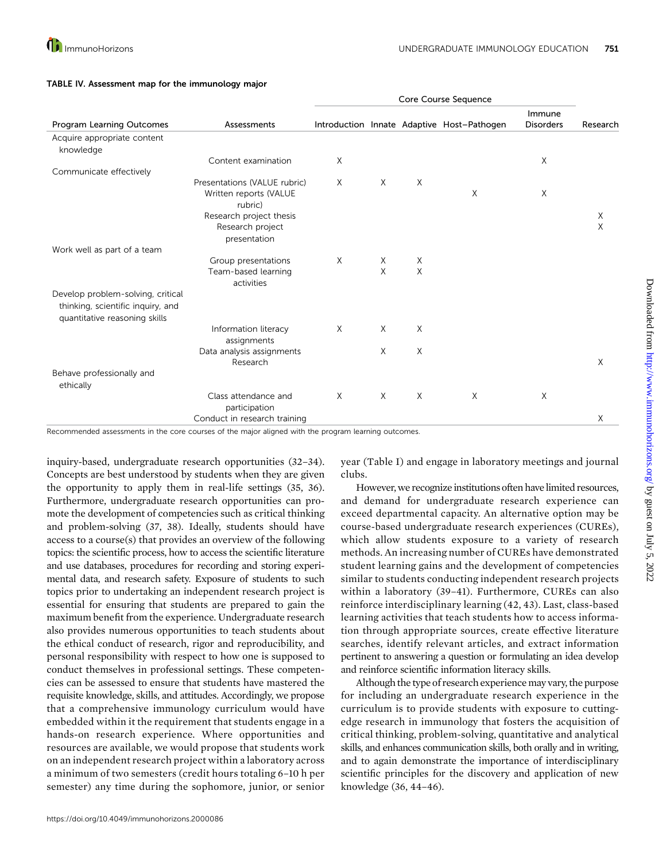|                                                                                                         |                                                        | Core Course Sequence |   |        |                                            |                            |          |
|---------------------------------------------------------------------------------------------------------|--------------------------------------------------------|----------------------|---|--------|--------------------------------------------|----------------------------|----------|
| Program Learning Outcomes                                                                               | Assessments                                            |                      |   |        | Introduction Innate Adaptive Host-Pathogen | Immune<br><b>Disorders</b> | Research |
| Acquire appropriate content                                                                             |                                                        |                      |   |        |                                            |                            |          |
| knowledge                                                                                               |                                                        |                      |   |        |                                            |                            |          |
|                                                                                                         | Content examination                                    | X                    |   |        |                                            | $\times$                   |          |
| Communicate effectively                                                                                 |                                                        |                      |   |        |                                            |                            |          |
|                                                                                                         | Presentations (VALUE rubric)<br>Written reports (VALUE | $\times$             | X | $\chi$ | X                                          | X                          |          |
|                                                                                                         | rubric)                                                |                      |   |        |                                            |                            |          |
|                                                                                                         | Research project thesis<br>Research project            |                      |   |        |                                            |                            | Χ<br>X   |
|                                                                                                         | presentation                                           |                      |   |        |                                            |                            |          |
| Work well as part of a team                                                                             |                                                        |                      |   |        |                                            |                            |          |
|                                                                                                         | Group presentations                                    | X                    | X | Χ      |                                            |                            |          |
|                                                                                                         | Team-based learning<br>activities                      |                      | X | X      |                                            |                            |          |
| Develop problem-solving, critical<br>thinking, scientific inquiry, and<br>quantitative reasoning skills |                                                        |                      |   |        |                                            |                            |          |
|                                                                                                         | Information literacy                                   | $\chi$               | X | X      |                                            |                            |          |
|                                                                                                         | assignments                                            |                      |   |        |                                            |                            |          |
|                                                                                                         | Data analysis assignments<br>Research                  |                      | X | X      |                                            |                            | X        |
| Behave professionally and<br>ethically                                                                  |                                                        |                      |   |        |                                            |                            |          |
|                                                                                                         | Class attendance and                                   | X                    | X | X      | X                                          | X                          |          |
|                                                                                                         | participation                                          |                      |   |        |                                            |                            |          |
|                                                                                                         | Conduct in research training                           |                      |   |        |                                            |                            | X        |

#### TABLE IV. Assessment map for the immunology major

Recommended assessments in the core courses of the major aligned with the program learning outcomes.

inquiry-based, undergraduate research opportunities (32–34). Concepts are best understood by students when they are given the opportunity to apply them in real-life settings (35, 36). Furthermore, undergraduate research opportunities can promote the development of competencies such as critical thinking and problem-solving (37, 38). Ideally, students should have access to a course(s) that provides an overview of the following topics: the scientific process, how to access the scientific literature and use databases, procedures for recording and storing experimental data, and research safety. Exposure of students to such topics prior to undertaking an independent research project is essential for ensuring that students are prepared to gain the maximum benefit from the experience. Undergraduate research also provides numerous opportunities to teach students about the ethical conduct of research, rigor and reproducibility, and personal responsibility with respect to how one is supposed to conduct themselves in professional settings. These competencies can be assessed to ensure that students have mastered the requisite knowledge, skills, and attitudes. Accordingly, we propose that a comprehensive immunology curriculum would have embedded within it the requirement that students engage in a hands-on research experience. Where opportunities and resources are available, we would propose that students work on an independent research project within a laboratory across a minimum of two semesters (credit hours totaling 6–10 h per semester) any time during the sophomore, junior, or senior

year (Table I) and engage in laboratory meetings and journal clubs.

However, we recognize institutions often have limited resources, and demand for undergraduate research experience can exceed departmental capacity. An alternative option may be course-based undergraduate research experiences (CUREs), which allow students exposure to a variety of research methods. An increasing number of CUREs have demonstrated student learning gains and the development of competencies similar to students conducting independent research projects within a laboratory (39–41). Furthermore, CUREs can also reinforce interdisciplinary learning (42, 43). Last, class-based learning activities that teach students how to access information through appropriate sources, create effective literature searches, identify relevant articles, and extract information pertinent to answering a question or formulating an idea develop and reinforce scientific information literacy skills.

Although the type of research experiencemay vary, the purpose for including an undergraduate research experience in the curriculum is to provide students with exposure to cuttingedge research in immunology that fosters the acquisition of critical thinking, problem-solving, quantitative and analytical skills, and enhances communication skills, both orally and in writing, and to again demonstrate the importance of interdisciplinary scientific principles for the discovery and application of new knowledge (36, 44–46).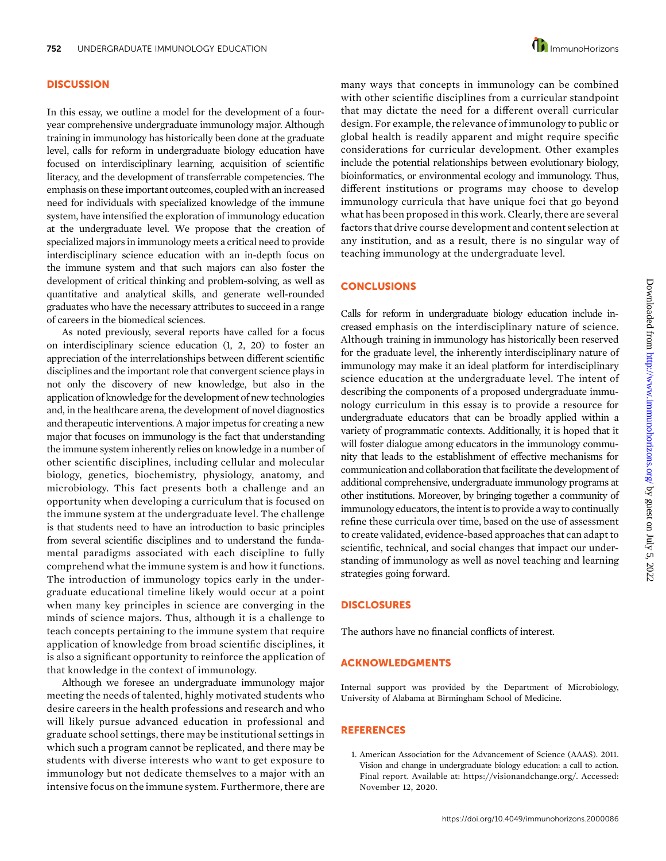#### **DISCUSSION**

In this essay, we outline a model for the development of a fouryear comprehensive undergraduate immunology major. Although training in immunology has historically been done at the graduate level, calls for reform in undergraduate biology education have focused on interdisciplinary learning, acquisition of scientific literacy, and the development of transferrable competencies. The emphasis on these important outcomes, coupled with an increased need for individuals with specialized knowledge of the immune system, have intensified the exploration of immunology education at the undergraduate level. We propose that the creation of specialized majors in immunology meets a critical need to provide interdisciplinary science education with an in-depth focus on the immune system and that such majors can also foster the development of critical thinking and problem-solving, as well as quantitative and analytical skills, and generate well-rounded graduates who have the necessary attributes to succeed in a range of careers in the biomedical sciences.

As noted previously, several reports have called for a focus on interdisciplinary science education (1, 2, 20) to foster an appreciation of the interrelationships between different scientific disciplines and the important role that convergent science plays in not only the discovery of new knowledge, but also in the application of knowledge for the development of new technologies and, in the healthcare arena, the development of novel diagnostics and therapeutic interventions. A major impetus for creating a new major that focuses on immunology is the fact that understanding the immune system inherently relies on knowledge in a number of other scientific disciplines, including cellular and molecular biology, genetics, biochemistry, physiology, anatomy, and microbiology. This fact presents both a challenge and an opportunity when developing a curriculum that is focused on the immune system at the undergraduate level. The challenge is that students need to have an introduction to basic principles from several scientific disciplines and to understand the fundamental paradigms associated with each discipline to fully comprehend what the immune system is and how it functions. The introduction of immunology topics early in the undergraduate educational timeline likely would occur at a point when many key principles in science are converging in the minds of science majors. Thus, although it is a challenge to teach concepts pertaining to the immune system that require application of knowledge from broad scientific disciplines, it is also a significant opportunity to reinforce the application of that knowledge in the context of immunology.

Although we foresee an undergraduate immunology major meeting the needs of talented, highly motivated students who desire careers in the health professions and research and who will likely pursue advanced education in professional and graduate school settings, there may be institutional settings in which such a program cannot be replicated, and there may be students with diverse interests who want to get exposure to immunology but not dedicate themselves to a major with an intensive focus on the immune system. Furthermore, there are many ways that concepts in immunology can be combined with other scientific disciplines from a curricular standpoint that may dictate the need for a different overall curricular design. For example, the relevance of immunology to public or global health is readily apparent and might require specific considerations for curricular development. Other examples include the potential relationships between evolutionary biology, bioinformatics, or environmental ecology and immunology. Thus, different institutions or programs may choose to develop immunology curricula that have unique foci that go beyond what has been proposed in this work. Clearly, there are several factors that drive course development and content selection at any institution, and as a result, there is no singular way of teaching immunology at the undergraduate level.

#### **CONCLUSIONS**

Calls for reform in undergraduate biology education include increased emphasis on the interdisciplinary nature of science. Although training in immunology has historically been reserved for the graduate level, the inherently interdisciplinary nature of immunology may make it an ideal platform for interdisciplinary science education at the undergraduate level. The intent of describing the components of a proposed undergraduate immunology curriculum in this essay is to provide a resource for undergraduate educators that can be broadly applied within a variety of programmatic contexts. Additionally, it is hoped that it will foster dialogue among educators in the immunology community that leads to the establishment of effective mechanisms for communication and collaboration that facilitate the development of additional comprehensive, undergraduate immunology programs at other institutions. Moreover, by bringing together a community of immunology educators, the intent is to provide a way to continually refine these curricula over time, based on the use of assessment to create validated, evidence-based approaches that can adapt to scientific, technical, and social changes that impact our understanding of immunology as well as novel teaching and learning strategies going forward.

#### DISCLOSURES

The authors have no financial conflicts of interest.

#### ACKNOWLEDGMENTS

Internal support was provided by the Department of Microbiology, University of Alabama at Birmingham School of Medicine.

#### **REFERENCES**

1. American Association for the Advancement of Science (AAAS). 2011. Vision and change in undergraduate biology education: a call to action. Final report. Available at: [https://visionandchange.org/.](https://visionandchange.org/) Accessed: November 12, 2020.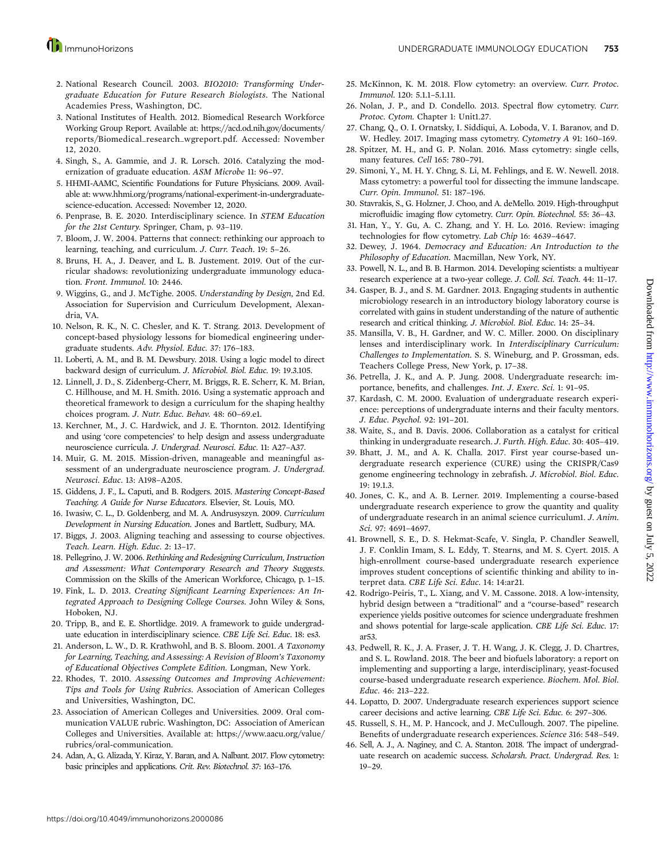- 2. National Research Council. 2003. BIO2010: Transforming Undergraduate Education for Future Research Biologists. The National Academies Press, Washington, DC.
- 3. National Institutes of Health. 2012. Biomedical Research Workforce Working Group Report. Available at: [https://acd.od.nih.gov/documents/](https://acd.od.nih.gov/documents/reports/Biomedical_research_wgreport.pdf) [reports/Biomedical\\_research\\_wgreport.pdf.](https://acd.od.nih.gov/documents/reports/Biomedical_research_wgreport.pdf) Accessed: November 12, 2020.
- 4. Singh, S., A. Gammie, and J. R. Lorsch. 2016. Catalyzing the modernization of graduate education. ASM Microbe 11: 96–97.
- 5. HHMI-AAMC, Scientific Foundations for Future Physicians. 2009. Available at: [www.hhmi.org/programs/national-experiment-in-undergraduate](http://www.hhmi.org/programs/national-experiment-in-undergraduate-science-education)[science-education](http://www.hhmi.org/programs/national-experiment-in-undergraduate-science-education). Accessed: November 12, 2020.
- 6. Penprase, B. E. 2020. Interdisciplinary science. In STEM Education for the 21st Century. Springer, Cham, p. 93–119.
- 7. Bloom, J. W. 2004. Patterns that connect: rethinking our approach to learning, teaching, and curriculum. J. Curr. Teach. 19: 5–26.
- 8. Bruns, H. A., J. Deaver, and L. B. Justement. 2019. Out of the curricular shadows: revolutionizing undergraduate immunology education. Front. Immunol. 10: 2446.
- 9. Wiggins, G., and J. McTighe. 2005. Understanding by Design, 2nd Ed. Association for Supervision and Curriculum Development, Alexandria, VA.
- 10. Nelson, R. K., N. C. Chesler, and K. T. Strang. 2013. Development of concept-based physiology lessons for biomedical engineering undergraduate students. Adv. Physiol. Educ. 37: 176–183.
- 11. Loberti, A. M., and B. M. Dewsbury. 2018. Using a logic model to direct backward design of curriculum. J. Microbiol. Biol. Educ. 19: 19.3.105.
- 12. Linnell, J. D., S. Zidenberg-Cherr, M. Briggs, R. E. Scherr, K. M. Brian, C. Hillhouse, and M. H. Smith. 2016. Using a systematic approach and theoretical framework to design a curriculum for the shaping healthy choices program. J. Nutr. Educ. Behav. 48: 60–69.e1.
- 13. Kerchner, M., J. C. Hardwick, and J. E. Thornton. 2012. Identifying and using 'core competencies' to help design and assess undergraduate neuroscience curricula. J. Undergrad. Neurosci. Educ. 11: A27–A37.
- 14. Muir, G. M. 2015. Mission-driven, manageable and meaningful assessment of an undergraduate neuroscience program. J. Undergrad. Neurosci. Educ. 13: A198–A205.
- 15. Giddens, J. F., L. Caputi, and B. Rodgers. 2015. Mastering Concept-Based Teaching. A Guide for Nurse Educators. Elsevier, St. Louis, MO.
- 16. Iwasiw, C. L., D. Goldenberg, and M. A. Andrusyszyn. 2009. Curriculum Development in Nursing Education. Jones and Bartlett, Sudbury, MA.
- 17. Biggs, J. 2003. Aligning teaching and assessing to course objectives. Teach. Learn. High. Educ. 2: 13–17.
- 18. Pellegrino, J. W. 2006. Rethinking and Redesigning Curriculum, Instruction and Assessment: What Contemporary Research and Theory Suggests. Commission on the Skills of the American Workforce, Chicago, p. 1–15.
- 19. Fink, L. D. 2013. Creating Significant Learning Experiences: An Integrated Approach to Designing College Courses. John Wiley & Sons, Hoboken, NJ.
- 20. Tripp, B., and E. E. Shortlidge. 2019. A framework to guide undergraduate education in interdisciplinary science. CBE Life Sci. Educ. 18: es3.
- 21. Anderson, L. W., D. R. Krathwohl, and B. S. Bloom. 2001. A Taxonomy for Learning, Teaching, and Assessing: A Revision of Bloom's Taxonomy of Educational Objectives Complete Edition. Longman, New York.
- 22. Rhodes, T. 2010. Assessing Outcomes and Improving Achievement: Tips and Tools for Using Rubrics. Association of American Colleges and Universities, Washington, DC.
- 23. Association of American Colleges and Universities. 2009. Oral communication VALUE rubric. Washington, DC: Association of American Colleges and Universities. Available at: [https://www.aacu.org/value/](https://www.aacu.org/value/rubrics/oral-communication) [rubrics/oral-communication](https://www.aacu.org/value/rubrics/oral-communication).
- 24. Adan, A., G. Alizada, Y. Kiraz, Y. Baran, and A. Nalbant. 2017. Flow cytometry: basic principles and applications. Crit. Rev. Biotechnol. 37: 163–176.
- 25. McKinnon, K. M. 2018. Flow cytometry: an overview. Curr. Protoc. Immunol. 120: 5.1.1–5.1.11.
- 26. Nolan, J. P., and D. Condello. 2013. Spectral flow cytometry. Curr. Protoc. Cytom. Chapter 1: Unit1.27.
- 27. Chang, Q., O. I. Ornatsky, I. Siddiqui, A. Loboda, V. I. Baranov, and D. W. Hedley. 2017. Imaging mass cytometry. Cytometry A 91: 160–169.
- 28. Spitzer, M. H., and G. P. Nolan. 2016. Mass cytometry: single cells, many features. Cell 165: 780–791.
- 29. Simoni, Y., M. H. Y. Chng, S. Li, M. Fehlings, and E. W. Newell. 2018. Mass cytometry: a powerful tool for dissecting the immune landscape. Curr. Opin. Immunol. 51: 187–196.
- 30. Stavrakis, S., G. Holzner, J. Choo, and A. deMello. 2019. High-throughput microfluidic imaging flow cytometry. Curr. Opin. Biotechnol. 55: 36–43.
- 31. Han, Y., Y. Gu, A. C. Zhang, and Y. H. Lo. 2016. Review: imaging technologies for flow cytometry. Lab Chip 16: 4639–4647.
- 32. Dewey, J. 1964. Democracy and Education: An Introduction to the Philosophy of Education. Macmillan, New York, NY.
- 33. Powell, N. L., and B. B. Harmon. 2014. Developing scientists: a multiyear research experience at a two-year college. J. Coll. Sci. Teach. 44: 11–17.
- 34. Gasper, B. J., and S. M. Gardner. 2013. Engaging students in authentic microbiology research in an introductory biology laboratory course is correlated with gains in student understanding of the nature of authentic research and critical thinking. J. Microbiol. Biol. Educ. 14: 25–34.
- 35. Mansilla, V. B., H. Gardner, and W. C. Miller. 2000. On disciplinary lenses and interdisciplinary work. In Interdisciplinary Curriculum: Challenges to Implementation. S. S. Wineburg, and P. Grossman, eds. Teachers College Press, New York, p. 17–38.
- 36. Petrella, J. K., and A. P. Jung. 2008. Undergraduate research: importance, benefits, and challenges. Int. J. Exerc. Sci. 1: 91–95.
- 37. Kardash, C. M. 2000. Evaluation of undergraduate research experience: perceptions of undergraduate interns and their faculty mentors. J. Educ. Psychol. 92: 191–201.
- 38. Waite, S., and B. Davis. 2006. Collaboration as a catalyst for critical thinking in undergraduate research. J. Furth. High. Educ. 30: 405–419.
- 39. Bhatt, J. M., and A. K. Challa. 2017. First year course-based undergraduate research experience (CURE) using the CRISPR/Cas9 genome engineering technology in zebrafish. J. Microbiol. Biol. Educ. 19: 19.1.3.
- 40. Jones, C. K., and A. B. Lerner. 2019. Implementing a course-based undergraduate research experience to grow the quantity and quality of undergraduate research in an animal science curriculum1. J. Anim. Sci. 97: 4691–4697.
- 41. Brownell, S. E., D. S. Hekmat-Scafe, V. Singla, P. Chandler Seawell, J. F. Conklin Imam, S. L. Eddy, T. Stearns, and M. S. Cyert. 2015. A high-enrollment course-based undergraduate research experience improves student conceptions of scientific thinking and ability to interpret data. CBE Life Sci. Educ. 14: 14:ar21.
- 42. Rodrigo-Peiris, T., L. Xiang, and V. M. Cassone. 2018. A low-intensity, hybrid design between a "traditional" and a "course-based" research experience yields positive outcomes for science undergraduate freshmen and shows potential for large-scale application. CBE Life Sci. Educ. 17: ar53.
- 43. Pedwell, R. K., J. A. Fraser, J. T. H. Wang, J. K. Clegg, J. D. Chartres, and S. L. Rowland. 2018. The beer and biofuels laboratory: a report on implementing and supporting a large, interdisciplinary, yeast-focused course-based undergraduate research experience. Biochem. Mol. Biol. Educ. 46: 213–222.
- 44. Lopatto, D. 2007. Undergraduate research experiences support science career decisions and active learning. CBE Life Sci. Educ. 6: 297–306.
- 45. Russell, S. H., M. P. Hancock, and J. McCullough. 2007. The pipeline. Benefits of undergraduate research experiences. Science 316: 548–549.
- 46. Sell, A. J., A. Naginey, and C. A. Stanton. 2018. The impact of undergraduate research on academic success. Scholarsh. Pract. Undergrad. Res. 1: 19–29.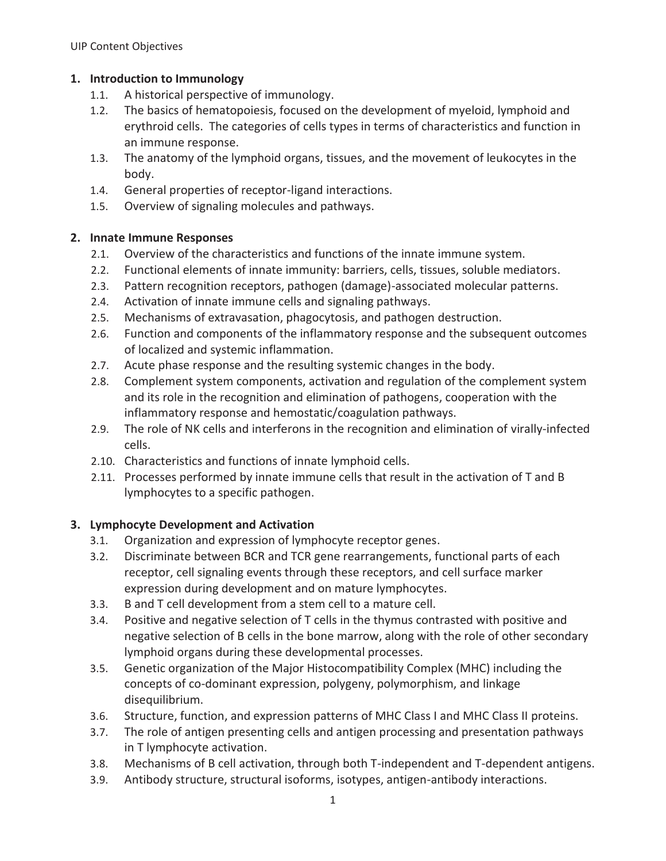### **1. Introduction to Immunology**

- 1.1. A historical perspective of immunology.
- 1.2. The basics of hematopoiesis, focused on the development of myeloid, lymphoid and erythroid cells. The categories of cells types in terms of characteristics and function in an immune response.
- 1.3. The anatomy of the lymphoid organs, tissues, and the movement of leukocytes in the body.
- 1.4. General properties of receptor-ligand interactions.
- 1.5. Overview of signaling molecules and pathways.

### **2. Innate Immune Responses**

- 2.1. Overview of the characteristics and functions of the innate immune system.
- 2.2. Functional elements of innate immunity: barriers, cells, tissues, soluble mediators.
- 2.3. Pattern recognition receptors, pathogen (damage)-associated molecular patterns.
- 2.4. Activation of innate immune cells and signaling pathways.
- 2.5. Mechanisms of extravasation, phagocytosis, and pathogen destruction.
- 2.6. Function and components of the inflammatory response and the subsequent outcomes of localized and systemic inflammation.
- 2.7. Acute phase response and the resulting systemic changes in the body.
- 2.8. Complement system components, activation and regulation of the complement system and its role in the recognition and elimination of pathogens, cooperation with the inflammatory response and hemostatic/coagulation pathways.
- 2.9. The role of NK cells and interferons in the recognition and elimination of virally-infected cells.
- 2.10. Characteristics and functions of innate lymphoid cells.
- 2.11. Processes performed by innate immune cells that result in the activation of T and B lymphocytes to a specific pathogen.

### **3. Lymphocyte Development and Activation**

- 3.1. Organization and expression of lymphocyte receptor genes.
- 3.2. Discriminate between BCR and TCR gene rearrangements, functional parts of each receptor, cell signaling events through these receptors, and cell surface marker expression during development and on mature lymphocytes.
- 3.3. B and T cell development from a stem cell to a mature cell.
- 3.4. Positive and negative selection of T cells in the thymus contrasted with positive and negative selection of B cells in the bone marrow, along with the role of other secondary lymphoid organs during these developmental processes.
- 3.5. Genetic organization of the Major Histocompatibility Complex (MHC) including the concepts of co-dominant expression, polygeny, polymorphism, and linkage disequilibrium.
- 3.6. Structure, function, and expression patterns of MHC Class I and MHC Class II proteins.
- 3.7. The role of antigen presenting cells and antigen processing and presentation pathways in T lymphocyte activation.
- 3.8. Mechanisms of B cell activation, through both T-independent and T-dependent antigens.
- 3.9. Antibody structure, structural isoforms, isotypes, antigen-antibody interactions.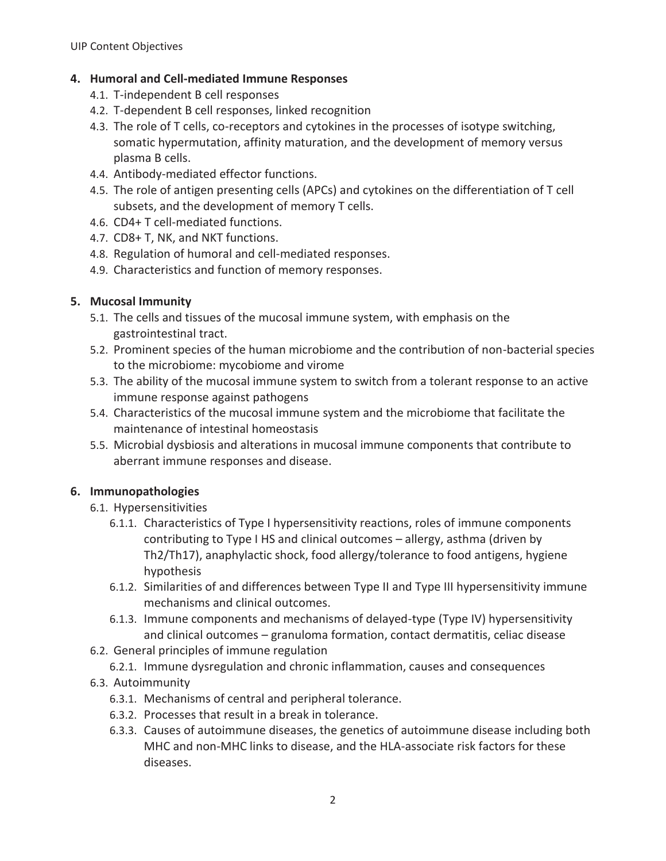### **4. Humoral and Cell-mediated Immune Responses**

- 4.1. T-independent B cell responses
- 4.2. T-dependent B cell responses, linked recognition
- 4.3. The role of T cells, co-receptors and cytokines in the processes of isotype switching, somatic hypermutation, affinity maturation, and the development of memory versus plasma B cells.
- 4.4. Antibody-mediated effector functions.
- 4.5. The role of antigen presenting cells (APCs) and cytokines on the differentiation of T cell subsets, and the development of memory T cells.
- 4.6. CD4+ T cell-mediated functions.
- 4.7. CD8+ T, NK, and NKT functions.
- 4.8. Regulation of humoral and cell-mediated responses.
- 4.9. Characteristics and function of memory responses.

### **5. Mucosal Immunity**

- 5.1. The cells and tissues of the mucosal immune system, with emphasis on the gastrointestinal tract.
- 5.2. Prominent species of the human microbiome and the contribution of non-bacterial species to the microbiome: mycobiome and virome
- 5.3. The ability of the mucosal immune system to switch from a tolerant response to an active immune response against pathogens
- 5.4. Characteristics of the mucosal immune system and the microbiome that facilitate the maintenance of intestinal homeostasis
- 5.5. Microbial dysbiosis and alterations in mucosal immune components that contribute to aberrant immune responses and disease.

### **6. Immunopathologies**

- 6.1. Hypersensitivities
	- 6.1.1. Characteristics of Type I hypersensitivity reactions, roles of immune components contributing to Type I HS and clinical outcomes – allergy, asthma (driven by Th2/Th17), anaphylactic shock, food allergy/tolerance to food antigens, hygiene hypothesis
	- 6.1.2. Similarities of and differences between Type II and Type III hypersensitivity immune mechanisms and clinical outcomes.
	- 6.1.3. Immune components and mechanisms of delayed-type (Type IV) hypersensitivity and clinical outcomes – granuloma formation, contact dermatitis, celiac disease
- 6.2. General principles of immune regulation
	- 6.2.1. Immune dysregulation and chronic inflammation, causes and consequences
- 6.3. Autoimmunity
	- 6.3.1. Mechanisms of central and peripheral tolerance.
	- 6.3.2. Processes that result in a break in tolerance.
	- 6.3.3. Causes of autoimmune diseases, the genetics of autoimmune disease including both MHC and non-MHC links to disease, and the HLA-associate risk factors for these diseases.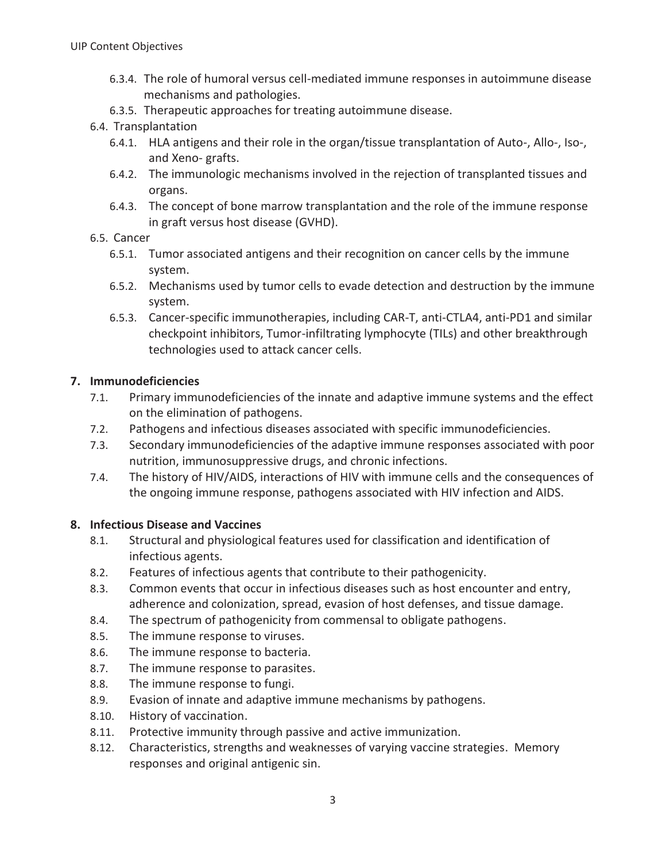- 6.3.4. The role of humoral versus cell-mediated immune responses in autoimmune disease mechanisms and pathologies.
- 6.3.5. Therapeutic approaches for treating autoimmune disease.

### 6.4. Transplantation

- 6.4.1. HLA antigens and their role in the organ/tissue transplantation of Auto-, Allo-, Iso-, and Xeno- grafts.
- 6.4.2. The immunologic mechanisms involved in the rejection of transplanted tissues and organs.
- 6.4.3. The concept of bone marrow transplantation and the role of the immune response in graft versus host disease (GVHD).

### 6.5. Cancer

- 6.5.1. Tumor associated antigens and their recognition on cancer cells by the immune system.
- 6.5.2. Mechanisms used by tumor cells to evade detection and destruction by the immune system.
- 6.5.3. Cancer-specific immunotherapies, including CAR-T, anti-CTLA4, anti-PD1 and similar checkpoint inhibitors, Tumor-infiltrating lymphocyte (TILs) and other breakthrough technologies used to attack cancer cells.

### **7. Immunodeficiencies**

- 7.1. Primary immunodeficiencies of the innate and adaptive immune systems and the effect on the elimination of pathogens.
- 7.2. Pathogens and infectious diseases associated with specific immunodeficiencies.
- 7.3. Secondary immunodeficiencies of the adaptive immune responses associated with poor nutrition, immunosuppressive drugs, and chronic infections.
- 7.4. The history of HIV/AIDS, interactions of HIV with immune cells and the consequences of the ongoing immune response, pathogens associated with HIV infection and AIDS.

### **8. Infectious Disease and Vaccines**

- 8.1. Structural and physiological features used for classification and identification of infectious agents.
- 8.2. Features of infectious agents that contribute to their pathogenicity.
- 8.3. Common events that occur in infectious diseases such as host encounter and entry, adherence and colonization, spread, evasion of host defenses, and tissue damage.
- 8.4. The spectrum of pathogenicity from commensal to obligate pathogens.
- 8.5. The immune response to viruses.
- 8.6. The immune response to bacteria.
- 8.7. The immune response to parasites.
- 8.8. The immune response to fungi.
- 8.9. Evasion of innate and adaptive immune mechanisms by pathogens.
- 8.10. History of vaccination.
- 8.11. Protective immunity through passive and active immunization.
- 8.12. Characteristics, strengths and weaknesses of varying vaccine strategies. Memory responses and original antigenic sin.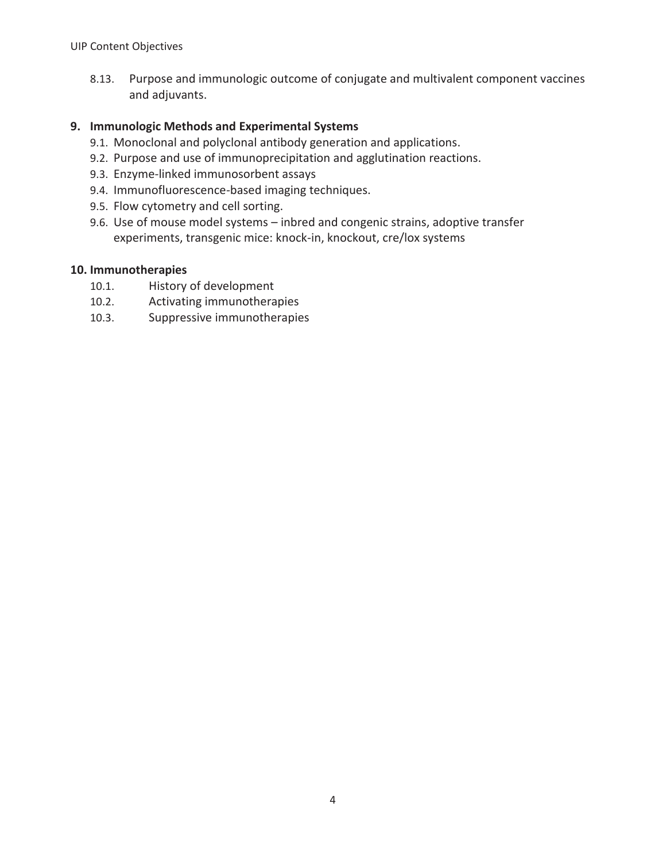8.13. Purpose and immunologic outcome of conjugate and multivalent component vaccines and adjuvants.

### **9. Immunologic Methods and Experimental Systems**

- 9.1. Monoclonal and polyclonal antibody generation and applications.
- 9.2. Purpose and use of immunoprecipitation and agglutination reactions.
- 9.3. Enzyme-linked immunosorbent assays
- 9.4. Immunofluorescence-based imaging techniques.
- 9.5. Flow cytometry and cell sorting.
- 9.6. Use of mouse model systems inbred and congenic strains, adoptive transfer experiments, transgenic mice: knock-in, knockout, cre/lox systems

### **10. Immunotherapies**

- 10.1. History of development
- 10.2. Activating immunotherapies
- 10.3. Suppressive immunotherapies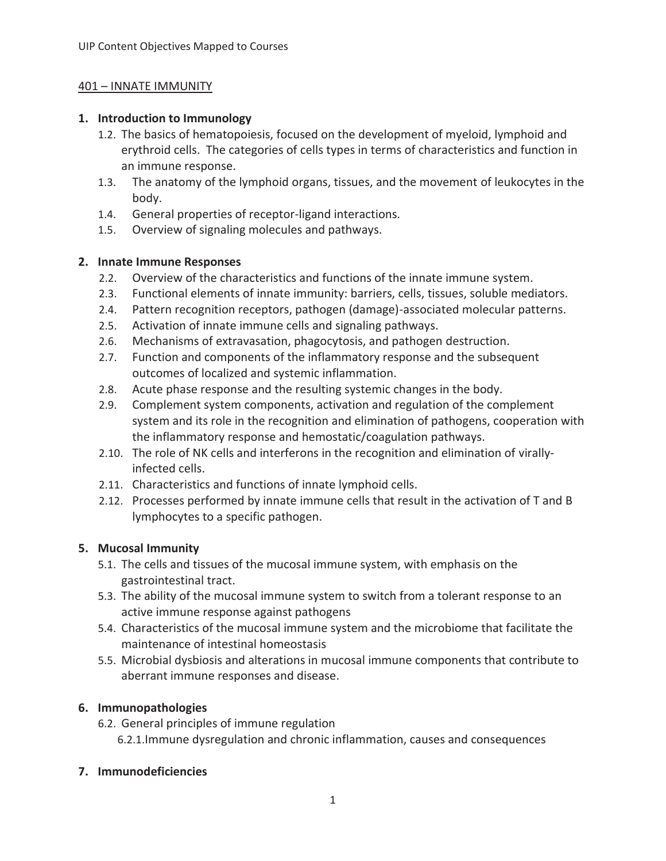### 401 – INNATE IMMUNITY

### **1. Introduction to Immunology**

- 1.2. The basics of hematopoiesis, focused on the development of myeloid, lymphoid and erythroid cells. The categories of cells types in terms of characteristics and function in an immune response.
- 1.3. The anatomy of the lymphoid organs, tissues, and the movement of leukocytes in the body.
- 1.4. General properties of receptor-ligand interactions.
- 1.5. Overview of signaling molecules and pathways.

### **2. Innate Immune Responses**

- 2.2. Overview of the characteristics and functions of the innate immune system.
- 2.3. Functional elements of innate immunity: barriers, cells, tissues, soluble mediators.
- 2.4. Pattern recognition receptors, pathogen (damage)-associated molecular patterns.
- 2.5. Activation of innate immune cells and signaling pathways.
- 2.6. Mechanisms of extravasation, phagocytosis, and pathogen destruction.
- 2.7. Function and components of the inflammatory response and the subsequent outcomes of localized and systemic inflammation.
- 2.8. Acute phase response and the resulting systemic changes in the body.
- 2.9. Complement system components, activation and regulation of the complement system and its role in the recognition and elimination of pathogens, cooperation with the inflammatory response and hemostatic/coagulation pathways.
- 2.10. The role of NK cells and interferons in the recognition and elimination of virallyinfected cells.
- 2.11. Characteristics and functions of innate lymphoid cells.
- 2.12. Processes performed by innate immune cells that result in the activation of T and B lymphocytes to a specific pathogen.

### **5. Mucosal Immunity**

- 5.1. The cells and tissues of the mucosal immune system, with emphasis on the gastrointestinal tract.
- 5.3. The ability of the mucosal immune system to switch from a tolerant response to an active immune response against pathogens
- 5.4. Characteristics of the mucosal immune system and the microbiome that facilitate the maintenance of intestinal homeostasis
- 5.5. Microbial dysbiosis and alterations in mucosal immune components that contribute to aberrant immune responses and disease.

### **6. Immunopathologies**

6.2. General principles of immune regulation 6.2.1.Immune dysregulation and chronic inflammation, causes and consequences

### **7. Immunodeficiencies**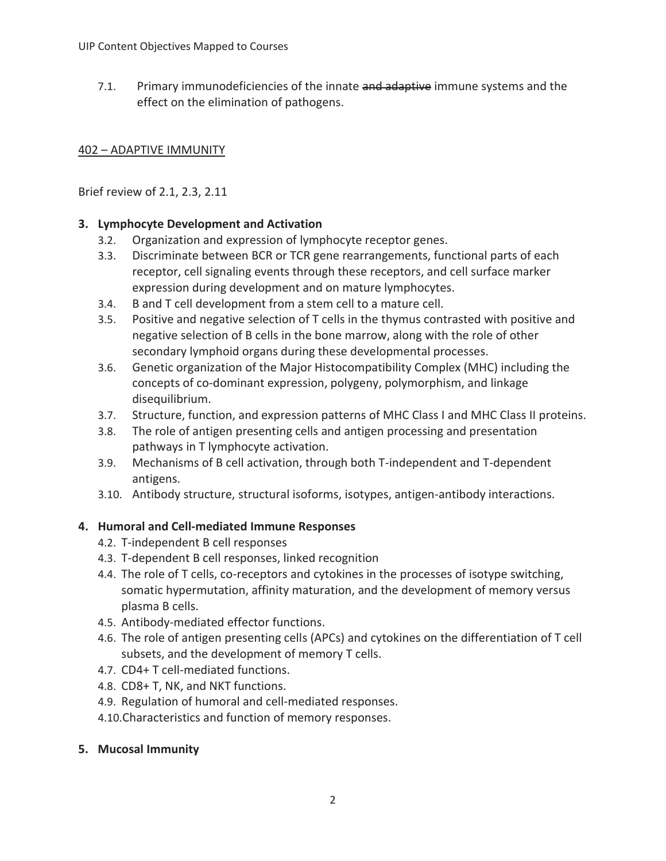7.1. Primary immunodeficiencies of the innate and adaptive immune systems and the effect on the elimination of pathogens.

### 402 – ADAPTIVE IMMUNITY

Brief review of 2.1, 2.3, 2.11

### **3. Lymphocyte Development and Activation**

- 3.2. Organization and expression of lymphocyte receptor genes.
- 3.3. Discriminate between BCR or TCR gene rearrangements, functional parts of each receptor, cell signaling events through these receptors, and cell surface marker expression during development and on mature lymphocytes.
- 3.4. B and T cell development from a stem cell to a mature cell.
- 3.5. Positive and negative selection of T cells in the thymus contrasted with positive and negative selection of B cells in the bone marrow, along with the role of other secondary lymphoid organs during these developmental processes.
- 3.6. Genetic organization of the Major Histocompatibility Complex (MHC) including the concepts of co-dominant expression, polygeny, polymorphism, and linkage disequilibrium.
- 3.7. Structure, function, and expression patterns of MHC Class I and MHC Class II proteins.
- 3.8. The role of antigen presenting cells and antigen processing and presentation pathways in T lymphocyte activation.
- 3.9. Mechanisms of B cell activation, through both T-independent and T-dependent antigens.
- 3.10. Antibody structure, structural isoforms, isotypes, antigen-antibody interactions.

### **4. Humoral and Cell-mediated Immune Responses**

- 4.2. T-independent B cell responses
- 4.3. T-dependent B cell responses, linked recognition
- 4.4. The role of T cells, co-receptors and cytokines in the processes of isotype switching, somatic hypermutation, affinity maturation, and the development of memory versus plasma B cells.
- 4.5. Antibody-mediated effector functions.
- 4.6. The role of antigen presenting cells (APCs) and cytokines on the differentiation of T cell subsets, and the development of memory T cells.
- 4.7. CD4+ T cell-mediated functions.
- 4.8. CD8+ T, NK, and NKT functions.
- 4.9. Regulation of humoral and cell-mediated responses.

4.10.Characteristics and function of memory responses.

### **5. Mucosal Immunity**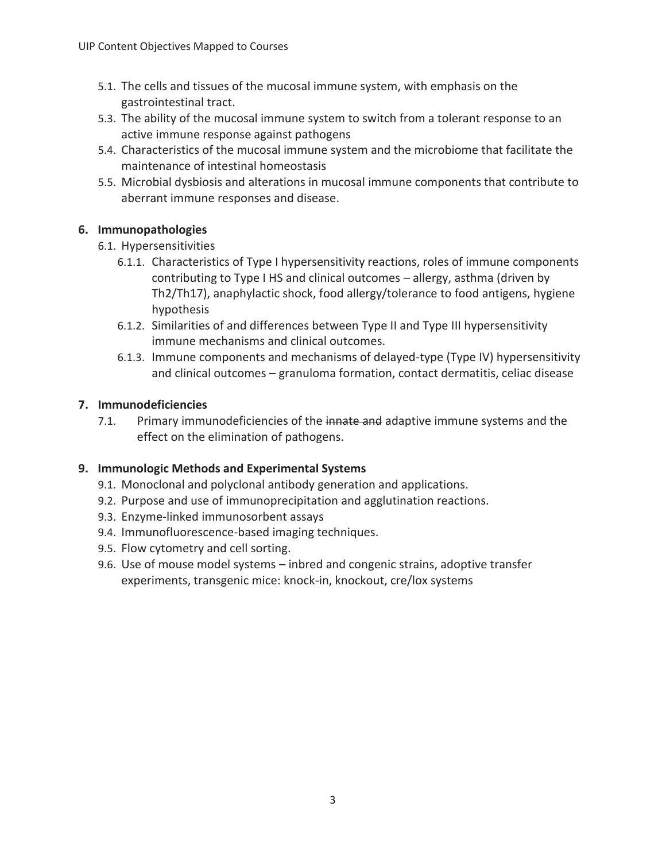- 5.1. The cells and tissues of the mucosal immune system, with emphasis on the gastrointestinal tract.
- 5.3. The ability of the mucosal immune system to switch from a tolerant response to an active immune response against pathogens
- 5.4. Characteristics of the mucosal immune system and the microbiome that facilitate the maintenance of intestinal homeostasis
- 5.5. Microbial dysbiosis and alterations in mucosal immune components that contribute to aberrant immune responses and disease.

### **6. Immunopathologies**

- 6.1. Hypersensitivities
	- 6.1.1. Characteristics of Type I hypersensitivity reactions, roles of immune components contributing to Type I HS and clinical outcomes – allergy, asthma (driven by Th2/Th17), anaphylactic shock, food allergy/tolerance to food antigens, hygiene hypothesis
	- 6.1.2. Similarities of and differences between Type II and Type III hypersensitivity immune mechanisms and clinical outcomes.
	- 6.1.3. Immune components and mechanisms of delayed-type (Type IV) hypersensitivity and clinical outcomes – granuloma formation, contact dermatitis, celiac disease

### **7. Immunodeficiencies**

7.1. Primary immunodeficiencies of the innate and adaptive immune systems and the effect on the elimination of pathogens.

### **9. Immunologic Methods and Experimental Systems**

- 9.1. Monoclonal and polyclonal antibody generation and applications.
- 9.2. Purpose and use of immunoprecipitation and agglutination reactions.
- 9.3. Enzyme-linked immunosorbent assays
- 9.4. Immunofluorescence-based imaging techniques.
- 9.5. Flow cytometry and cell sorting.
- 9.6. Use of mouse model systems inbred and congenic strains, adoptive transfer experiments, transgenic mice: knock-in, knockout, cre/lox systems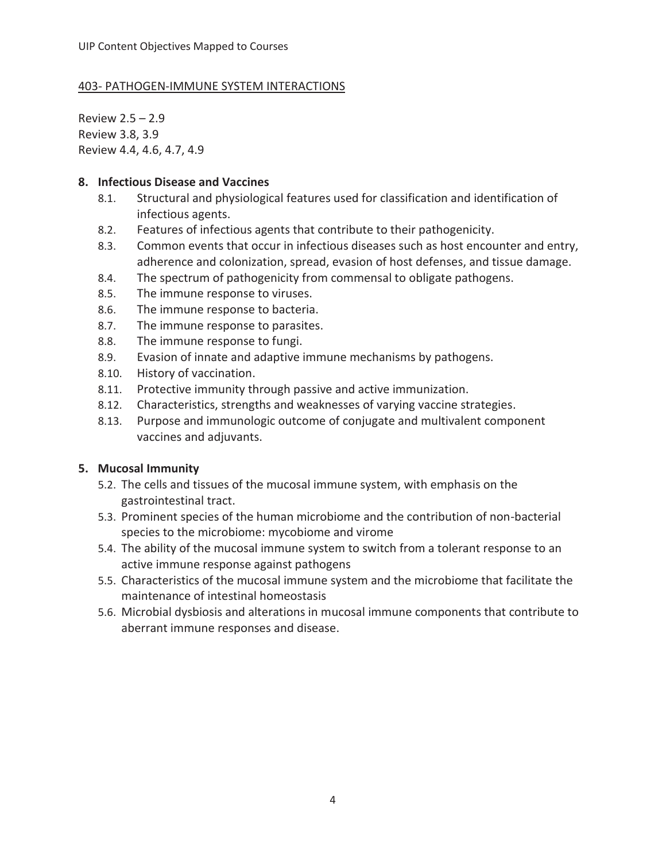### 403- PATHOGEN-IMMUNE SYSTEM INTERACTIONS

Review 2.5 – 2.9 Review 3.8, 3.9 Review 4.4, 4.6, 4.7, 4.9

#### **8. Infectious Disease and Vaccines**

- 8.1. Structural and physiological features used for classification and identification of infectious agents.
- 8.2. Features of infectious agents that contribute to their pathogenicity.
- 8.3. Common events that occur in infectious diseases such as host encounter and entry, adherence and colonization, spread, evasion of host defenses, and tissue damage.
- 8.4. The spectrum of pathogenicity from commensal to obligate pathogens.
- 8.5. The immune response to viruses.
- 8.6. The immune response to bacteria.
- 8.7. The immune response to parasites.
- 8.8. The immune response to fungi.
- 8.9. Evasion of innate and adaptive immune mechanisms by pathogens.
- 8.10. History of vaccination.
- 8.11. Protective immunity through passive and active immunization.
- 8.12. Characteristics, strengths and weaknesses of varying vaccine strategies.
- 8.13. Purpose and immunologic outcome of conjugate and multivalent component vaccines and adjuvants.

### **5. Mucosal Immunity**

- 5.2. The cells and tissues of the mucosal immune system, with emphasis on the gastrointestinal tract.
- 5.3. Prominent species of the human microbiome and the contribution of non-bacterial species to the microbiome: mycobiome and virome
- 5.4. The ability of the mucosal immune system to switch from a tolerant response to an active immune response against pathogens
- 5.5. Characteristics of the mucosal immune system and the microbiome that facilitate the maintenance of intestinal homeostasis
- 5.6. Microbial dysbiosis and alterations in mucosal immune components that contribute to aberrant immune responses and disease.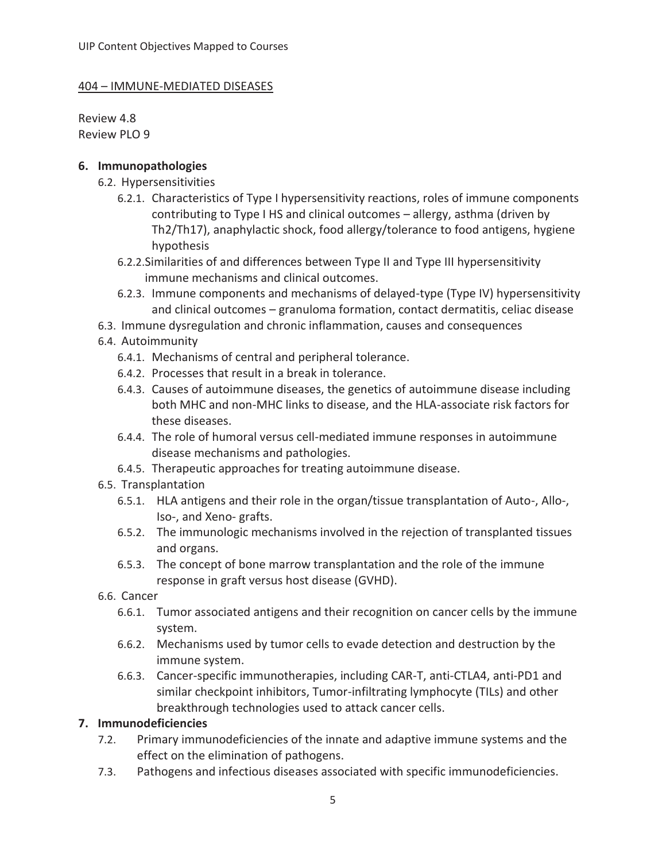#### 404 – IMMUNE-MEDIATED DISEASES

Review 4.8 Review PLO 9

#### **6. Immunopathologies**

- 6.2. Hypersensitivities
	- 6.2.1. Characteristics of Type I hypersensitivity reactions, roles of immune components contributing to Type I HS and clinical outcomes – allergy, asthma (driven by Th2/Th17), anaphylactic shock, food allergy/tolerance to food antigens, hygiene hypothesis
	- 6.2.2.Similarities of and differences between Type II and Type III hypersensitivity immune mechanisms and clinical outcomes.
	- 6.2.3. Immune components and mechanisms of delayed-type (Type IV) hypersensitivity and clinical outcomes – granuloma formation, contact dermatitis, celiac disease
- 6.3. Immune dysregulation and chronic inflammation, causes and consequences
- 6.4. Autoimmunity
	- 6.4.1. Mechanisms of central and peripheral tolerance.
	- 6.4.2. Processes that result in a break in tolerance.
	- 6.4.3. Causes of autoimmune diseases, the genetics of autoimmune disease including both MHC and non-MHC links to disease, and the HLA-associate risk factors for these diseases.
	- 6.4.4. The role of humoral versus cell-mediated immune responses in autoimmune disease mechanisms and pathologies.
	- 6.4.5. Therapeutic approaches for treating autoimmune disease.
- 6.5. Transplantation
	- 6.5.1. HLA antigens and their role in the organ/tissue transplantation of Auto-, Allo-, Iso-, and Xeno- grafts.
	- 6.5.2. The immunologic mechanisms involved in the rejection of transplanted tissues and organs.
	- 6.5.3. The concept of bone marrow transplantation and the role of the immune response in graft versus host disease (GVHD).
- 6.6. Cancer
	- 6.6.1. Tumor associated antigens and their recognition on cancer cells by the immune system.
	- 6.6.2. Mechanisms used by tumor cells to evade detection and destruction by the immune system.
	- 6.6.3. Cancer-specific immunotherapies, including CAR-T, anti-CTLA4, anti-PD1 and similar checkpoint inhibitors, Tumor-infiltrating lymphocyte (TILs) and other breakthrough technologies used to attack cancer cells.

### **7. Immunodeficiencies**

- 7.2. Primary immunodeficiencies of the innate and adaptive immune systems and the effect on the elimination of pathogens.
- 7.3. Pathogens and infectious diseases associated with specific immunodeficiencies.